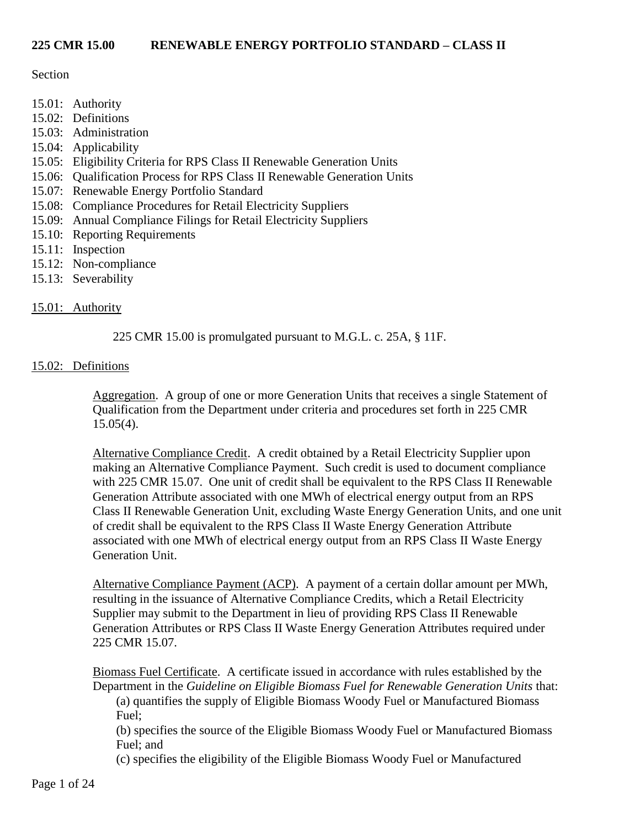## Section

- 15.01: Authority
- 15.02: Definitions
- 15.03: Administration
- 15.04: Applicability
- 15.05: Eligibility Criteria for RPS Class II Renewable Generation Units
- 15.06: Qualification Process for RPS Class II Renewable Generation Units
- 15.07: Renewable Energy Portfolio Standard
- 15.08: Compliance Procedures for Retail Electricity Suppliers
- 15.09: Annual Compliance Filings for Retail Electricity Suppliers
- 15.10: Reporting Requirements
- 15.11: Inspection
- 15.12: Non-compliance
- 15.13: Severability

# 15.01: Authority

225 CMR 15.00 is promulgated pursuant to M.G.L. c. 25A, § 11F.

# 15.02: Definitions

Aggregation. A group of one or more Generation Units that receives a single Statement of Qualification from the Department under criteria and procedures set forth in 225 CMR 15.05(4).

Alternative Compliance Credit. A credit obtained by a Retail Electricity Supplier upon making an Alternative Compliance Payment. Such credit is used to document compliance with 225 CMR 15.07. One unit of credit shall be equivalent to the RPS Class II Renewable Generation Attribute associated with one MWh of electrical energy output from an RPS Class II Renewable Generation Unit, excluding Waste Energy Generation Units, and one unit of credit shall be equivalent to the RPS Class II Waste Energy Generation Attribute associated with one MWh of electrical energy output from an RPS Class II Waste Energy Generation Unit.

Alternative Compliance Payment (ACP). A payment of a certain dollar amount per MWh, resulting in the issuance of Alternative Compliance Credits, which a Retail Electricity Supplier may submit to the Department in lieu of providing RPS Class II Renewable Generation Attributes or RPS Class II Waste Energy Generation Attributes required under 225 CMR 15.07.

Biomass Fuel Certificate. A certificate issued in accordance with rules established by the Department in the *Guideline on Eligible Biomass Fuel for Renewable Generation Units* that:

(a) quantifies the supply of Eligible Biomass Woody Fuel or Manufactured Biomass Fuel;

(b) specifies the source of the Eligible Biomass Woody Fuel or Manufactured Biomass Fuel; and

(c) specifies the eligibility of the Eligible Biomass Woody Fuel or Manufactured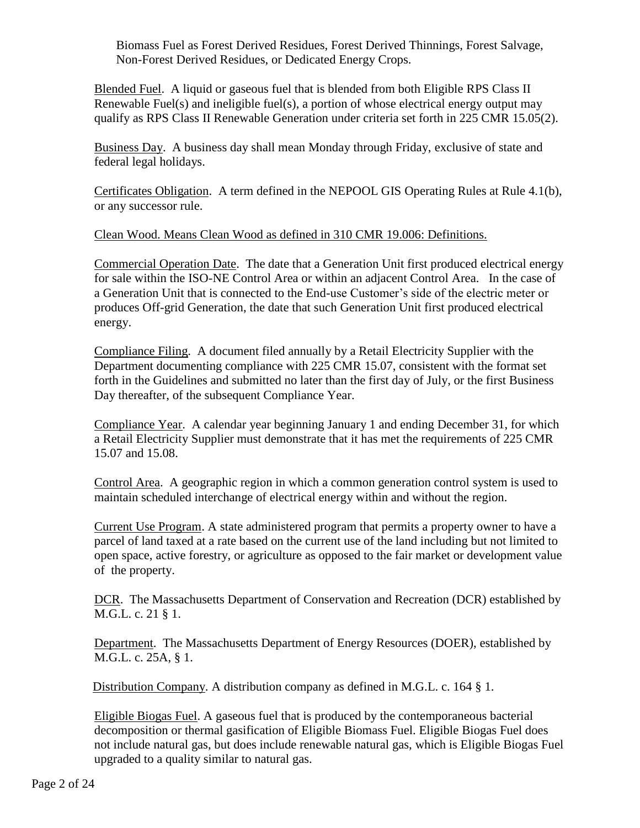Biomass Fuel as Forest Derived Residues, Forest Derived Thinnings, Forest Salvage, Non-Forest Derived Residues, or Dedicated Energy Crops.

Blended Fuel. A liquid or gaseous fuel that is blended from both Eligible RPS Class II Renewable Fuel(s) and ineligible fuel(s), a portion of whose electrical energy output may qualify as RPS Class II Renewable Generation under criteria set forth in 225 CMR 15.05(2).

Business Day. A business day shall mean Monday through Friday, exclusive of state and federal legal holidays.

Certificates Obligation. A term defined in the NEPOOL GIS Operating Rules at Rule 4.1(b), or any successor rule.

Clean Wood. Means Clean Wood as defined in 310 CMR 19.006: Definitions.

Commercial Operation Date. The date that a Generation Unit first produced electrical energy for sale within the ISO-NE Control Area or within an adjacent Control Area. In the case of a Generation Unit that is connected to the End-use Customer's side of the electric meter or produces Off-grid Generation, the date that such Generation Unit first produced electrical energy.

Compliance Filing. A document filed annually by a Retail Electricity Supplier with the Department documenting compliance with 225 CMR 15.07, consistent with the format set forth in the Guidelines and submitted no later than the first day of July, or the first Business Day thereafter, of the subsequent Compliance Year.

Compliance Year. A calendar year beginning January 1 and ending December 31, for which a Retail Electricity Supplier must demonstrate that it has met the requirements of 225 CMR 15.07 and 15.08.

Control Area. A geographic region in which a common generation control system is used to maintain scheduled interchange of electrical energy within and without the region.

Current Use Program. A state administered program that permits a property owner to have a parcel of land taxed at a rate based on the current use of the land including but not limited to open space, active forestry, or agriculture as opposed to the fair market or development value of the property.

DCR. The Massachusetts Department of Conservation and Recreation (DCR) established by M.G.L. c. 21 § 1.

Department. The Massachusetts Department of Energy Resources (DOER), established by M.G.L. c. 25A, § 1.

Distribution Company. A distribution company as defined in M.G.L. c. 164 § 1.

Eligible Biogas Fuel. A gaseous fuel that is produced by the contemporaneous bacterial decomposition or thermal gasification of Eligible Biomass Fuel. Eligible Biogas Fuel does not include natural gas, but does include renewable natural gas, which is Eligible Biogas Fuel upgraded to a quality similar to natural gas.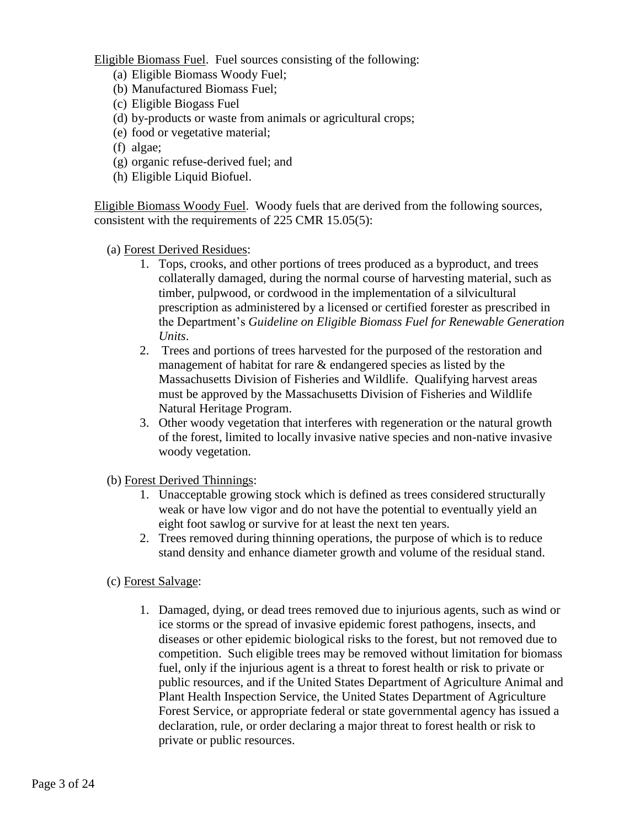Eligible Biomass Fuel. Fuel sources consisting of the following:

- (a) Eligible Biomass Woody Fuel;
- (b) Manufactured Biomass Fuel;
- (c) Eligible Biogass Fuel
- (d) by-products or waste from animals or agricultural crops;
- (e) food or vegetative material;
- (f) algae;
- (g) organic refuse-derived fuel; and
- (h) Eligible Liquid Biofuel.

Eligible Biomass Woody Fuel. Woody fuels that are derived from the following sources, consistent with the requirements of 225 CMR 15.05(5):

- (a) Forest Derived Residues:
	- 1. Tops, crooks, and other portions of trees produced as a byproduct, and trees collaterally damaged, during the normal course of harvesting material, such as timber, pulpwood, or cordwood in the implementation of a silvicultural prescription as administered by a licensed or certified forester as prescribed in the Department's *Guideline on Eligible Biomass Fuel for Renewable Generation Units*.
	- 2. Trees and portions of trees harvested for the purposed of the restoration and management of habitat for rare & endangered species as listed by the Massachusetts Division of Fisheries and Wildlife. Qualifying harvest areas must be approved by the Massachusetts Division of Fisheries and Wildlife Natural Heritage Program.
	- 3. Other woody vegetation that interferes with regeneration or the natural growth of the forest, limited to locally invasive native species and non-native invasive woody vegetation.
- (b) Forest Derived Thinnings:
	- 1. Unacceptable growing stock which is defined as trees considered structurally weak or have low vigor and do not have the potential to eventually yield an eight foot sawlog or survive for at least the next ten years.
	- 2. Trees removed during thinning operations, the purpose of which is to reduce stand density and enhance diameter growth and volume of the residual stand.
- (c) Forest Salvage:
	- 1. Damaged, dying, or dead trees removed due to injurious agents, such as wind or ice storms or the spread of invasive epidemic forest pathogens, insects, and diseases or other epidemic biological risks to the forest, but not removed due to competition. Such eligible trees may be removed without limitation for biomass fuel, only if the injurious agent is a threat to forest health or risk to private or public resources, and if the United States Department of Agriculture Animal and Plant Health Inspection Service, the United States Department of Agriculture Forest Service, or appropriate federal or state governmental agency has issued a declaration, rule, or order declaring a major threat to forest health or risk to private or public resources.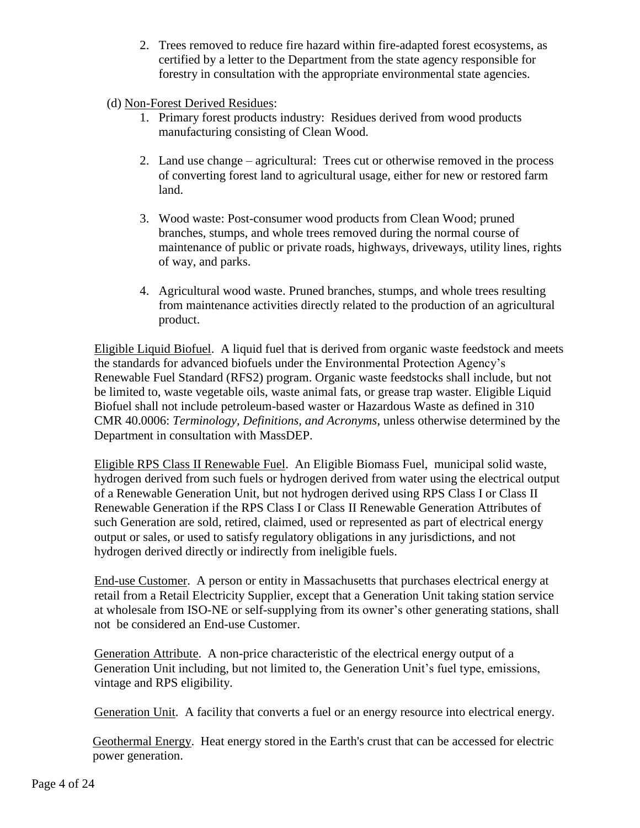- 2. Trees removed to reduce fire hazard within fire-adapted forest ecosystems, as certified by a letter to the Department from the state agency responsible for forestry in consultation with the appropriate environmental state agencies.
- (d) Non-Forest Derived Residues:
	- 1. Primary forest products industry: Residues derived from wood products manufacturing consisting of Clean Wood.
	- 2. Land use change agricultural: Trees cut or otherwise removed in the process of converting forest land to agricultural usage, either for new or restored farm land.
	- 3. Wood waste: Post-consumer wood products from Clean Wood; pruned branches, stumps, and whole trees removed during the normal course of maintenance of public or private roads, highways, driveways, utility lines, rights of way, and parks.
	- 4. Agricultural wood waste. Pruned branches, stumps, and whole trees resulting from maintenance activities directly related to the production of an agricultural product.

Eligible Liquid Biofuel. A liquid fuel that is derived from organic waste feedstock and meets the standards for advanced biofuels under the Environmental Protection Agency's Renewable Fuel Standard (RFS2) program. Organic waste feedstocks shall include, but not be limited to, waste vegetable oils, waste animal fats, or grease trap waster. Eligible Liquid Biofuel shall not include petroleum-based waster or Hazardous Waste as defined in 310 CMR 40.0006: *Terminology, Definitions, and Acronyms*, unless otherwise determined by the Department in consultation with MassDEP.

Eligible RPS Class II Renewable Fuel. An Eligible Biomass Fuel, municipal solid waste, hydrogen derived from such fuels or hydrogen derived from water using the electrical output of a Renewable Generation Unit, but not hydrogen derived using RPS Class I or Class II Renewable Generation if the RPS Class I or Class II Renewable Generation Attributes of such Generation are sold, retired, claimed, used or represented as part of electrical energy output or sales, or used to satisfy regulatory obligations in any jurisdictions, and not hydrogen derived directly or indirectly from ineligible fuels.

End-use Customer. A person or entity in Massachusetts that purchases electrical energy at retail from a Retail Electricity Supplier, except that a Generation Unit taking station service at wholesale from ISO-NE or self-supplying from its owner's other generating stations, shall not be considered an End-use Customer.

Generation Attribute. A non-price characteristic of the electrical energy output of a Generation Unit including, but not limited to, the Generation Unit's fuel type, emissions, vintage and RPS eligibility.

Generation Unit. A facility that converts a fuel or an energy resource into electrical energy.

Geothermal Energy. Heat energy stored in the Earth's crust that can be accessed for electric power generation.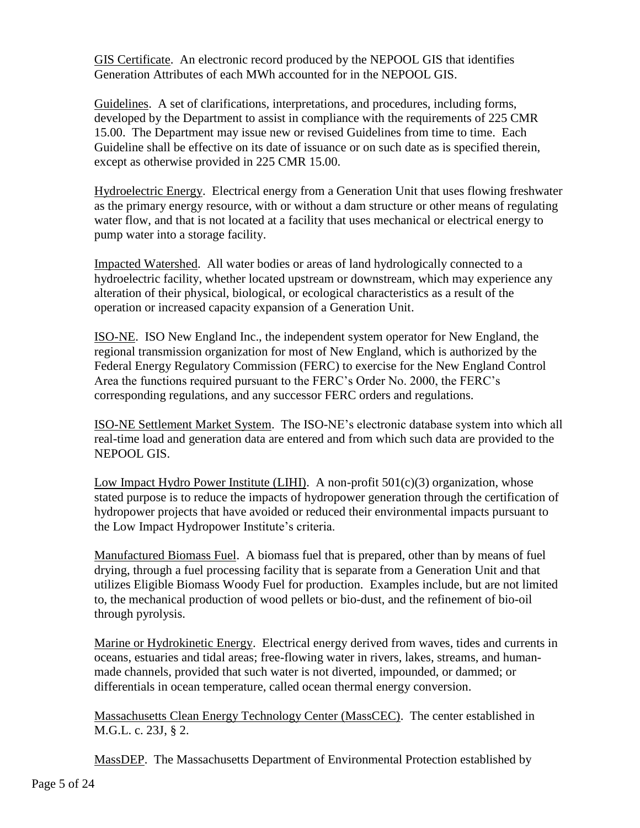GIS Certificate. An electronic record produced by the NEPOOL GIS that identifies Generation Attributes of each MWh accounted for in the NEPOOL GIS.

Guidelines. A set of clarifications, interpretations, and procedures, including forms, developed by the Department to assist in compliance with the requirements of 225 CMR 15.00. The Department may issue new or revised Guidelines from time to time. Each Guideline shall be effective on its date of issuance or on such date as is specified therein, except as otherwise provided in 225 CMR 15.00.

Hydroelectric Energy. Electrical energy from a Generation Unit that uses flowing freshwater as the primary energy resource, with or without a dam structure or other means of regulating water flow, and that is not located at a facility that uses mechanical or electrical energy to pump water into a storage facility.

Impacted Watershed. All water bodies or areas of land hydrologically connected to a hydroelectric facility, whether located upstream or downstream, which may experience any alteration of their physical, biological, or ecological characteristics as a result of the operation or increased capacity expansion of a Generation Unit.

ISO-NE. ISO New England Inc., the independent system operator for New England, the regional transmission organization for most of New England, which is authorized by the Federal Energy Regulatory Commission (FERC) to exercise for the New England Control Area the functions required pursuant to the FERC's Order No. 2000, the FERC's corresponding regulations, and any successor FERC orders and regulations.

ISO-NE Settlement Market System. The ISO-NE's electronic database system into which all real-time load and generation data are entered and from which such data are provided to the NEPOOL GIS.

Low Impact Hydro Power Institute (LIHI). A non-profit  $501(c)(3)$  organization, whose stated purpose is to reduce the impacts of hydropower generation through the certification of hydropower projects that have avoided or reduced their environmental impacts pursuant to the Low Impact Hydropower Institute's criteria.

Manufactured Biomass Fuel. A biomass fuel that is prepared, other than by means of fuel drying, through a fuel processing facility that is separate from a Generation Unit and that utilizes Eligible Biomass Woody Fuel for production. Examples include, but are not limited to, the mechanical production of wood pellets or bio-dust, and the refinement of bio-oil through pyrolysis.

Marine or Hydrokinetic Energy. Electrical energy derived from waves, tides and currents in oceans, estuaries and tidal areas; free-flowing water in rivers, lakes, streams, and humanmade channels, provided that such water is not diverted, impounded, or dammed; or differentials in ocean temperature, called ocean thermal energy conversion.

Massachusetts Clean Energy Technology Center (MassCEC). The center established in M.G.L. c. 23J, § 2.

MassDEP. The Massachusetts Department of Environmental Protection established by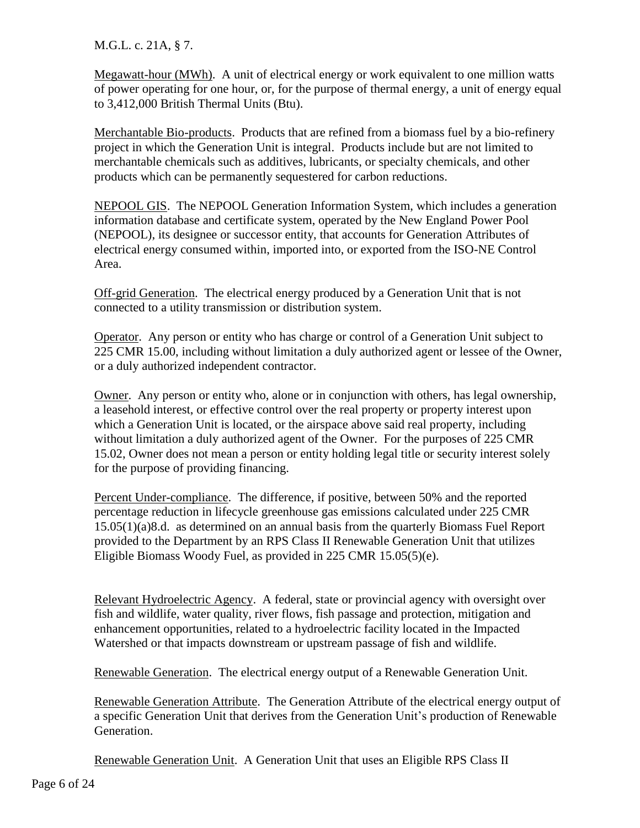M.G.L. c. 21A, § 7.

Megawatt-hour (MWh). A unit of electrical energy or work equivalent to one million watts of power operating for one hour, or, for the purpose of thermal energy, a unit of energy equal to 3,412,000 British Thermal Units (Btu).

Merchantable Bio-products. Products that are refined from a biomass fuel by a bio-refinery project in which the Generation Unit is integral. Products include but are not limited to merchantable chemicals such as additives, lubricants, or specialty chemicals, and other products which can be permanently sequestered for carbon reductions.

NEPOOL GIS. The NEPOOL Generation Information System, which includes a generation information database and certificate system, operated by the New England Power Pool (NEPOOL), its designee or successor entity, that accounts for Generation Attributes of electrical energy consumed within, imported into, or exported from the ISO-NE Control Area.

Off-grid Generation. The electrical energy produced by a Generation Unit that is not connected to a utility transmission or distribution system.

Operator. Any person or entity who has charge or control of a Generation Unit subject to 225 CMR 15.00, including without limitation a duly authorized agent or lessee of the Owner, or a duly authorized independent contractor.

Owner. Any person or entity who, alone or in conjunction with others, has legal ownership, a leasehold interest, or effective control over the real property or property interest upon which a Generation Unit is located, or the airspace above said real property, including without limitation a duly authorized agent of the Owner. For the purposes of 225 CMR 15.02, Owner does not mean a person or entity holding legal title or security interest solely for the purpose of providing financing.

Percent Under-compliance. The difference, if positive, between 50% and the reported percentage reduction in lifecycle greenhouse gas emissions calculated under 225 CMR 15.05(1)(a)8.d. as determined on an annual basis from the quarterly Biomass Fuel Report provided to the Department by an RPS Class II Renewable Generation Unit that utilizes Eligible Biomass Woody Fuel, as provided in 225 CMR 15.05(5)(e).

Relevant Hydroelectric Agency. A federal, state or provincial agency with oversight over fish and wildlife, water quality, river flows, fish passage and protection, mitigation and enhancement opportunities, related to a hydroelectric facility located in the Impacted Watershed or that impacts downstream or upstream passage of fish and wildlife.

Renewable Generation. The electrical energy output of a Renewable Generation Unit.

Renewable Generation Attribute. The Generation Attribute of the electrical energy output of a specific Generation Unit that derives from the Generation Unit's production of Renewable Generation.

Renewable Generation Unit. A Generation Unit that uses an Eligible RPS Class II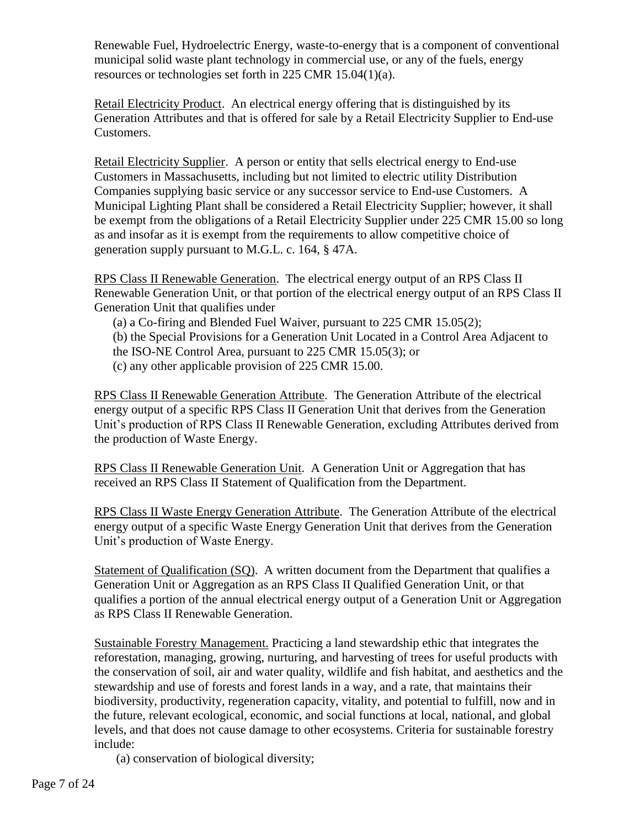Renewable Fuel, Hydroelectric Energy, waste-to-energy that is a component of conventional municipal solid waste plant technology in commercial use, or any of the fuels, energy resources or technologies set forth in 225 CMR 15.04(1)(a).

Retail Electricity Product. An electrical energy offering that is distinguished by its Generation Attributes and that is offered for sale by a Retail Electricity Supplier to End-use Customers.

Retail Electricity Supplier. A person or entity that sells electrical energy to End-use Customers in Massachusetts, including but not limited to electric utility Distribution Companies supplying basic service or any successor service to End-use Customers. A Municipal Lighting Plant shall be considered a Retail Electricity Supplier; however, it shall be exempt from the obligations of a Retail Electricity Supplier under 225 CMR 15.00 so long as and insofar as it is exempt from the requirements to allow competitive choice of generation supply pursuant to M.G.L. c. 164, § 47A.

RPS Class II Renewable Generation. The electrical energy output of an RPS Class II Renewable Generation Unit, or that portion of the electrical energy output of an RPS Class II Generation Unit that qualifies under

- (a) a Co-firing and Blended Fuel Waiver, pursuant to 225 CMR 15.05(2);
- (b) the Special Provisions for a Generation Unit Located in a Control Area Adjacent to
- the ISO-NE Control Area, pursuant to 225 CMR 15.05(3); or
- (c) any other applicable provision of 225 CMR 15.00.

RPS Class II Renewable Generation Attribute. The Generation Attribute of the electrical energy output of a specific RPS Class II Generation Unit that derives from the Generation Unit's production of RPS Class II Renewable Generation, excluding Attributes derived from the production of Waste Energy.

RPS Class II Renewable Generation Unit. A Generation Unit or Aggregation that has received an RPS Class II Statement of Qualification from the Department.

RPS Class II Waste Energy Generation Attribute. The Generation Attribute of the electrical energy output of a specific Waste Energy Generation Unit that derives from the Generation Unit's production of Waste Energy.

Statement of Qualification (SQ). A written document from the Department that qualifies a Generation Unit or Aggregation as an RPS Class II Qualified Generation Unit, or that qualifies a portion of the annual electrical energy output of a Generation Unit or Aggregation as RPS Class II Renewable Generation.

Sustainable Forestry Management. Practicing a land stewardship ethic that integrates the reforestation, managing, growing, nurturing, and harvesting of trees for useful products with the conservation of soil, air and water quality, wildlife and fish habitat, and aesthetics and the stewardship and use of forests and forest lands in a way, and a rate, that maintains their biodiversity, productivity, regeneration capacity, vitality, and potential to fulfill, now and in the future, relevant ecological, economic, and social functions at local, national, and global levels, and that does not cause damage to other ecosystems. Criteria for sustainable forestry include:

(a) conservation of biological diversity;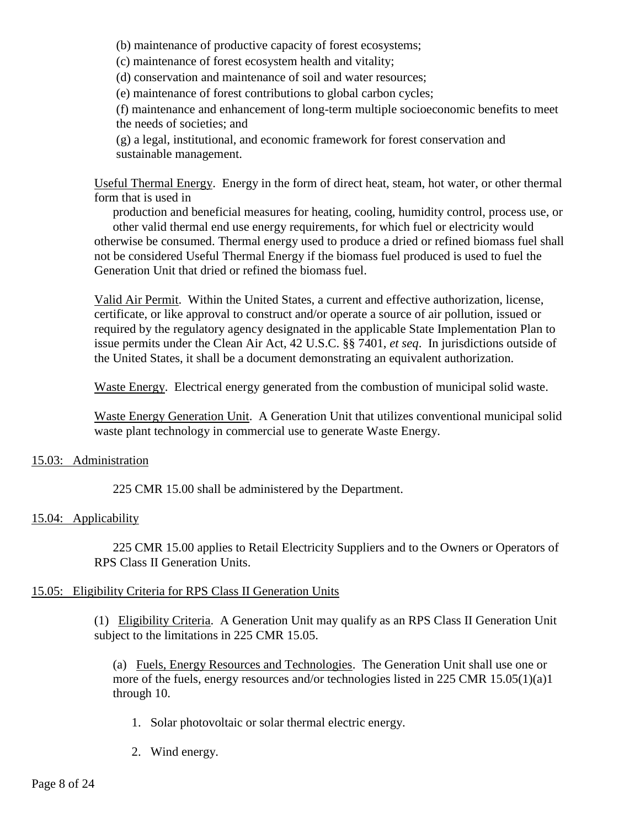(b) maintenance of productive capacity of forest ecosystems;

(c) maintenance of forest ecosystem health and vitality;

(d) conservation and maintenance of soil and water resources;

(e) maintenance of forest contributions to global carbon cycles;

(f) maintenance and enhancement of long-term multiple socioeconomic benefits to meet the needs of societies; and

(g) a legal, institutional, and economic framework for forest conservation and sustainable management.

Useful Thermal Energy. Energy in the form of direct heat, steam, hot water, or other thermal form that is used in

production and beneficial measures for heating, cooling, humidity control, process use, or other valid thermal end use energy requirements, for which fuel or electricity would otherwise be consumed. Thermal energy used to produce a dried or refined biomass fuel shall not be considered Useful Thermal Energy if the biomass fuel produced is used to fuel the Generation Unit that dried or refined the biomass fuel.

Valid Air Permit. Within the United States, a current and effective authorization, license, certificate, or like approval to construct and/or operate a source of air pollution, issued or required by the regulatory agency designated in the applicable State Implementation Plan to issue permits under the Clean Air Act, 42 U.S.C. §§ 7401, *et seq*. In jurisdictions outside of the United States, it shall be a document demonstrating an equivalent authorization.

Waste Energy. Electrical energy generated from the combustion of municipal solid waste.

Waste Energy Generation Unit. A Generation Unit that utilizes conventional municipal solid waste plant technology in commercial use to generate Waste Energy.

## 15.03: Administration

225 CMR 15.00 shall be administered by the Department.

## 15.04: Applicability

225 CMR 15.00 applies to Retail Electricity Suppliers and to the Owners or Operators of RPS Class II Generation Units.

## 15.05: Eligibility Criteria for RPS Class II Generation Units

(1) Eligibility Criteria. A Generation Unit may qualify as an RPS Class II Generation Unit subject to the limitations in 225 CMR 15.05.

(a) Fuels, Energy Resources and Technologies. The Generation Unit shall use one or more of the fuels, energy resources and/or technologies listed in 225 CMR 15.05(1)(a)1 through 10.

- 1. Solar photovoltaic or solar thermal electric energy.
- 2. Wind energy.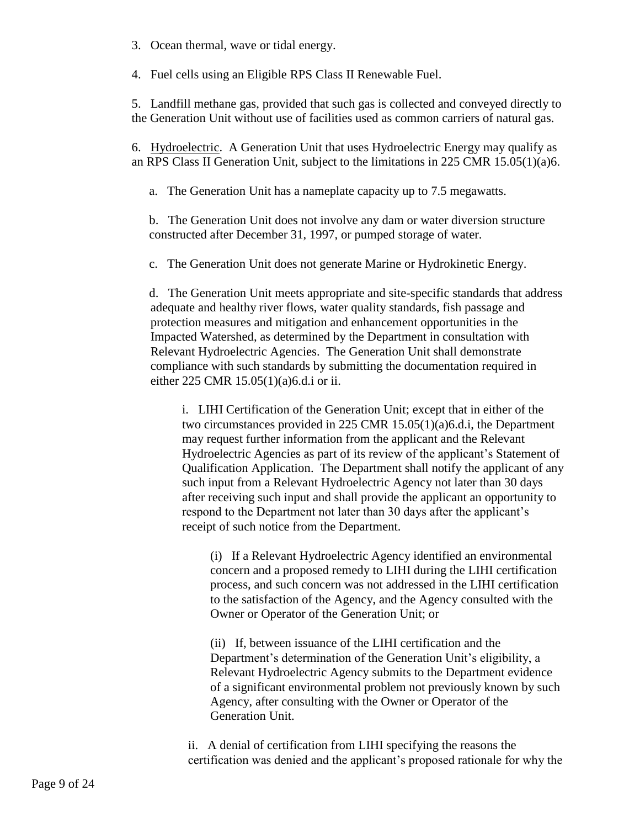3. Ocean thermal, wave or tidal energy.

4. Fuel cells using an Eligible RPS Class II Renewable Fuel.

5. Landfill methane gas, provided that such gas is collected and conveyed directly to the Generation Unit without use of facilities used as common carriers of natural gas.

6. Hydroelectric. A Generation Unit that uses Hydroelectric Energy may qualify as an RPS Class II Generation Unit, subject to the limitations in 225 CMR 15.05(1)(a)6.

a. The Generation Unit has a nameplate capacity up to 7.5 megawatts.

b. The Generation Unit does not involve any dam or water diversion structure constructed after December 31, 1997, or pumped storage of water.

c. The Generation Unit does not generate Marine or Hydrokinetic Energy.

d. The Generation Unit meets appropriate and site-specific standards that address adequate and healthy river flows, water quality standards, fish passage and protection measures and mitigation and enhancement opportunities in the Impacted Watershed, as determined by the Department in consultation with Relevant Hydroelectric Agencies. The Generation Unit shall demonstrate compliance with such standards by submitting the documentation required in either 225 CMR 15.05(1)(a)6.d.i or ii.

i. LIHI Certification of the Generation Unit; except that in either of the two circumstances provided in 225 CMR 15.05(1)(a)6.d.i, the Department may request further information from the applicant and the Relevant Hydroelectric Agencies as part of its review of the applicant's Statement of Qualification Application. The Department shall notify the applicant of any such input from a Relevant Hydroelectric Agency not later than 30 days after receiving such input and shall provide the applicant an opportunity to respond to the Department not later than 30 days after the applicant's receipt of such notice from the Department.

(i) If a Relevant Hydroelectric Agency identified an environmental concern and a proposed remedy to LIHI during the LIHI certification process, and such concern was not addressed in the LIHI certification to the satisfaction of the Agency, and the Agency consulted with the Owner or Operator of the Generation Unit; or

(ii) If, between issuance of the LIHI certification and the Department's determination of the Generation Unit's eligibility, a Relevant Hydroelectric Agency submits to the Department evidence of a significant environmental problem not previously known by such Agency, after consulting with the Owner or Operator of the Generation Unit.

ii. A denial of certification from LIHI specifying the reasons the certification was denied and the applicant's proposed rationale for why the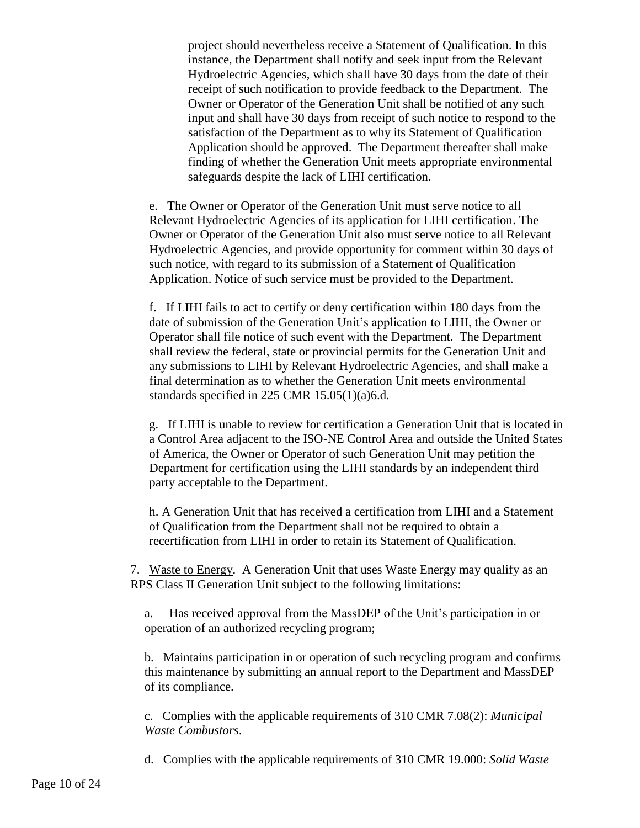project should nevertheless receive a Statement of Qualification. In this instance, the Department shall notify and seek input from the Relevant Hydroelectric Agencies, which shall have 30 days from the date of their receipt of such notification to provide feedback to the Department. The Owner or Operator of the Generation Unit shall be notified of any such input and shall have 30 days from receipt of such notice to respond to the satisfaction of the Department as to why its Statement of Qualification Application should be approved. The Department thereafter shall make finding of whether the Generation Unit meets appropriate environmental safeguards despite the lack of LIHI certification.

e. The Owner or Operator of the Generation Unit must serve notice to all Relevant Hydroelectric Agencies of its application for LIHI certification. The Owner or Operator of the Generation Unit also must serve notice to all Relevant Hydroelectric Agencies, and provide opportunity for comment within 30 days of such notice, with regard to its submission of a Statement of Qualification Application. Notice of such service must be provided to the Department.

f. If LIHI fails to act to certify or deny certification within 180 days from the date of submission of the Generation Unit's application to LIHI, the Owner or Operator shall file notice of such event with the Department. The Department shall review the federal, state or provincial permits for the Generation Unit and any submissions to LIHI by Relevant Hydroelectric Agencies, and shall make a final determination as to whether the Generation Unit meets environmental standards specified in 225 CMR 15.05(1)(a)6.d.

g. If LIHI is unable to review for certification a Generation Unit that is located in a Control Area adjacent to the ISO-NE Control Area and outside the United States of America, the Owner or Operator of such Generation Unit may petition the Department for certification using the LIHI standards by an independent third party acceptable to the Department.

h. A Generation Unit that has received a certification from LIHI and a Statement of Qualification from the Department shall not be required to obtain a recertification from LIHI in order to retain its Statement of Qualification.

7. Waste to Energy. A Generation Unit that uses Waste Energy may qualify as an RPS Class II Generation Unit subject to the following limitations:

a. Has received approval from the MassDEP of the Unit's participation in or operation of an authorized recycling program;

b. Maintains participation in or operation of such recycling program and confirms this maintenance by submitting an annual report to the Department and MassDEP of its compliance.

c. Complies with the applicable requirements of 310 CMR 7.08(2): *Municipal Waste Combustors*.

d. Complies with the applicable requirements of 310 CMR 19.000: *Solid Waste*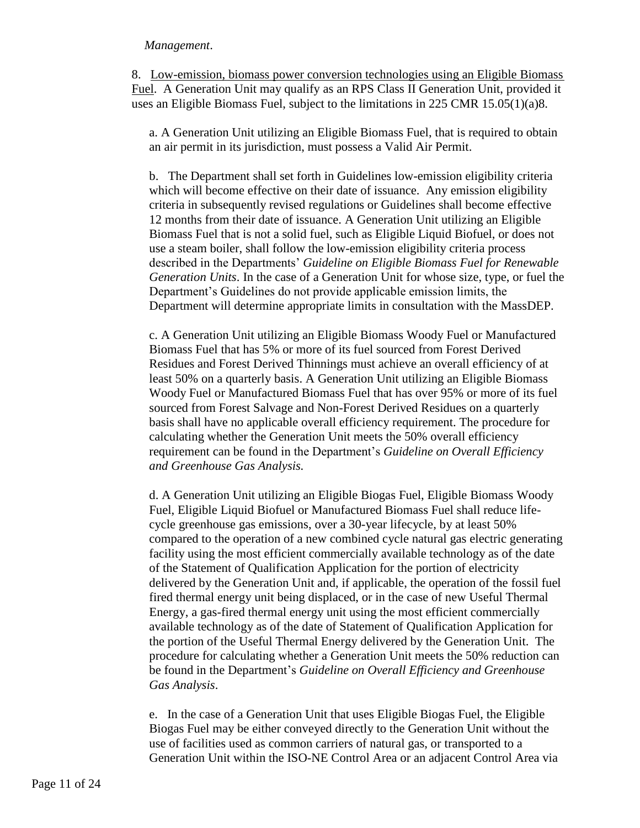#### *Management*.

8. Low-emission, biomass power conversion technologies using an Eligible Biomass Fuel. A Generation Unit may qualify as an RPS Class II Generation Unit, provided it uses an Eligible Biomass Fuel, subject to the limitations in 225 CMR 15.05(1)(a)8.

a. A Generation Unit utilizing an Eligible Biomass Fuel, that is required to obtain an air permit in its jurisdiction, must possess a Valid Air Permit.

b. The Department shall set forth in Guidelines low-emission eligibility criteria which will become effective on their date of issuance. Any emission eligibility criteria in subsequently revised regulations or Guidelines shall become effective 12 months from their date of issuance. A Generation Unit utilizing an Eligible Biomass Fuel that is not a solid fuel, such as Eligible Liquid Biofuel, or does not use a steam boiler, shall follow the low-emission eligibility criteria process described in the Departments' *Guideline on Eligible Biomass Fuel for Renewable Generation Units*. In the case of a Generation Unit for whose size, type, or fuel the Department's Guidelines do not provide applicable emission limits, the Department will determine appropriate limits in consultation with the MassDEP.

c. A Generation Unit utilizing an Eligible Biomass Woody Fuel or Manufactured Biomass Fuel that has 5% or more of its fuel sourced from Forest Derived Residues and Forest Derived Thinnings must achieve an overall efficiency of at least 50% on a quarterly basis. A Generation Unit utilizing an Eligible Biomass Woody Fuel or Manufactured Biomass Fuel that has over 95% or more of its fuel sourced from Forest Salvage and Non-Forest Derived Residues on a quarterly basis shall have no applicable overall efficiency requirement. The procedure for calculating whether the Generation Unit meets the 50% overall efficiency requirement can be found in the Department's *Guideline on Overall Efficiency and Greenhouse Gas Analysis.*

d. A Generation Unit utilizing an Eligible Biogas Fuel, Eligible Biomass Woody Fuel, Eligible Liquid Biofuel or Manufactured Biomass Fuel shall reduce lifecycle greenhouse gas emissions, over a 30-year lifecycle, by at least 50% compared to the operation of a new combined cycle natural gas electric generating facility using the most efficient commercially available technology as of the date of the Statement of Qualification Application for the portion of electricity delivered by the Generation Unit and, if applicable, the operation of the fossil fuel fired thermal energy unit being displaced, or in the case of new Useful Thermal Energy, a gas-fired thermal energy unit using the most efficient commercially available technology as of the date of Statement of Qualification Application for the portion of the Useful Thermal Energy delivered by the Generation Unit. The procedure for calculating whether a Generation Unit meets the 50% reduction can be found in the Department's *Guideline on Overall Efficiency and Greenhouse Gas Analysis*.

e. In the case of a Generation Unit that uses Eligible Biogas Fuel, the Eligible Biogas Fuel may be either conveyed directly to the Generation Unit without the use of facilities used as common carriers of natural gas, or transported to a Generation Unit within the ISO-NE Control Area or an adjacent Control Area via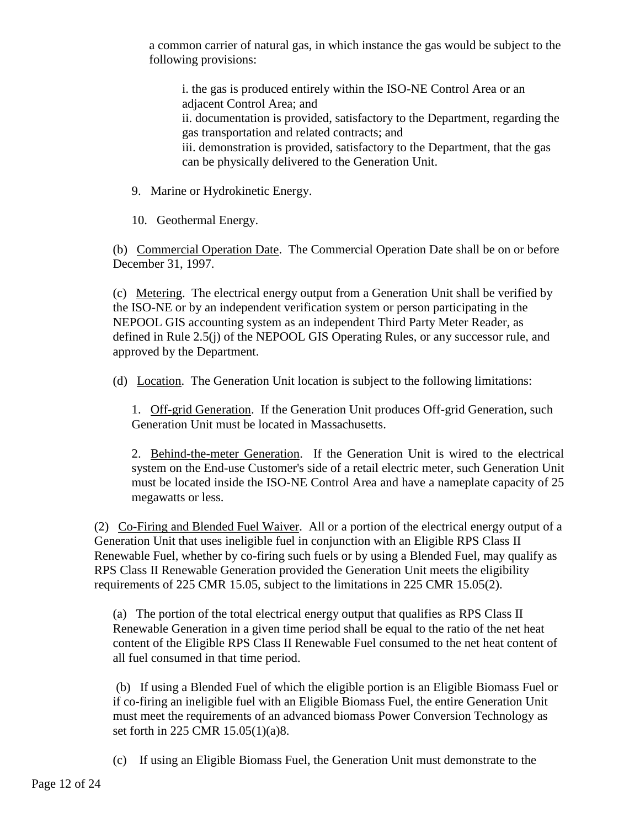a common carrier of natural gas, in which instance the gas would be subject to the following provisions:

i. the gas is produced entirely within the ISO-NE Control Area or an adjacent Control Area; and ii. documentation is provided, satisfactory to the Department, regarding the gas transportation and related contracts; and iii. demonstration is provided, satisfactory to the Department, that the gas can be physically delivered to the Generation Unit.

- 9. Marine or Hydrokinetic Energy.
- 10. Geothermal Energy.

(b) Commercial Operation Date. The Commercial Operation Date shall be on or before December 31, 1997.

(c) Metering. The electrical energy output from a Generation Unit shall be verified by the ISO-NE or by an independent verification system or person participating in the NEPOOL GIS accounting system as an independent Third Party Meter Reader, as defined in Rule 2.5(j) of the NEPOOL GIS Operating Rules, or any successor rule, and approved by the Department.

(d) Location. The Generation Unit location is subject to the following limitations:

1. Off-grid Generation. If the Generation Unit produces Off-grid Generation, such Generation Unit must be located in Massachusetts.

2. Behind-the-meter Generation. If the Generation Unit is wired to the electrical system on the End-use Customer's side of a retail electric meter, such Generation Unit must be located inside the ISO-NE Control Area and have a nameplate capacity of 25 megawatts or less.

(2) Co-Firing and Blended Fuel Waiver. All or a portion of the electrical energy output of a Generation Unit that uses ineligible fuel in conjunction with an Eligible RPS Class II Renewable Fuel, whether by co-firing such fuels or by using a Blended Fuel, may qualify as RPS Class II Renewable Generation provided the Generation Unit meets the eligibility requirements of 225 CMR 15.05, subject to the limitations in 225 CMR 15.05(2).

(a) The portion of the total electrical energy output that qualifies as RPS Class II Renewable Generation in a given time period shall be equal to the ratio of the net heat content of the Eligible RPS Class II Renewable Fuel consumed to the net heat content of all fuel consumed in that time period.

(b) If using a Blended Fuel of which the eligible portion is an Eligible Biomass Fuel or if co-firing an ineligible fuel with an Eligible Biomass Fuel, the entire Generation Unit must meet the requirements of an advanced biomass Power Conversion Technology as set forth in 225 CMR 15.05(1)(a)8.

(c) If using an Eligible Biomass Fuel, the Generation Unit must demonstrate to the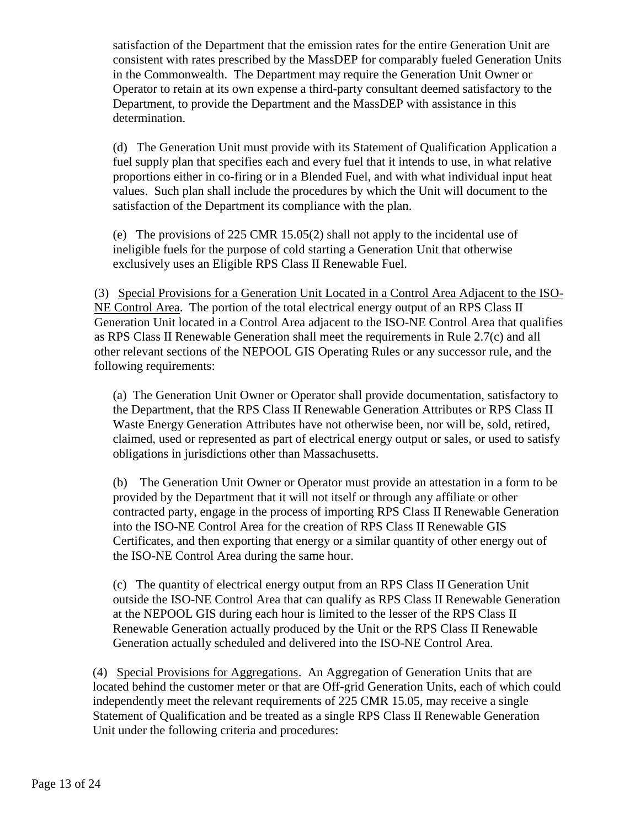satisfaction of the Department that the emission rates for the entire Generation Unit are consistent with rates prescribed by the MassDEP for comparably fueled Generation Units in the Commonwealth. The Department may require the Generation Unit Owner or Operator to retain at its own expense a third-party consultant deemed satisfactory to the Department, to provide the Department and the MassDEP with assistance in this determination.

(d) The Generation Unit must provide with its Statement of Qualification Application a fuel supply plan that specifies each and every fuel that it intends to use, in what relative proportions either in co-firing or in a Blended Fuel, and with what individual input heat values. Such plan shall include the procedures by which the Unit will document to the satisfaction of the Department its compliance with the plan.

(e) The provisions of 225 CMR 15.05(2) shall not apply to the incidental use of ineligible fuels for the purpose of cold starting a Generation Unit that otherwise exclusively uses an Eligible RPS Class II Renewable Fuel.

(3) Special Provisions for a Generation Unit Located in a Control Area Adjacent to the ISO-NE Control Area. The portion of the total electrical energy output of an RPS Class II Generation Unit located in a Control Area adjacent to the ISO-NE Control Area that qualifies as RPS Class II Renewable Generation shall meet the requirements in Rule 2.7(c) and all other relevant sections of the NEPOOL GIS Operating Rules or any successor rule, and the following requirements:

(a) The Generation Unit Owner or Operator shall provide documentation, satisfactory to the Department, that the RPS Class II Renewable Generation Attributes or RPS Class II Waste Energy Generation Attributes have not otherwise been, nor will be, sold, retired, claimed, used or represented as part of electrical energy output or sales, or used to satisfy obligations in jurisdictions other than Massachusetts.

(b) The Generation Unit Owner or Operator must provide an attestation in a form to be provided by the Department that it will not itself or through any affiliate or other contracted party, engage in the process of importing RPS Class II Renewable Generation into the ISO-NE Control Area for the creation of RPS Class II Renewable GIS Certificates, and then exporting that energy or a similar quantity of other energy out of the ISO-NE Control Area during the same hour.

(c) The quantity of electrical energy output from an RPS Class II Generation Unit outside the ISO-NE Control Area that can qualify as RPS Class II Renewable Generation at the NEPOOL GIS during each hour is limited to the lesser of the RPS Class II Renewable Generation actually produced by the Unit or the RPS Class II Renewable Generation actually scheduled and delivered into the ISO-NE Control Area.

(4) Special Provisions for Aggregations. An Aggregation of Generation Units that are located behind the customer meter or that are Off-grid Generation Units, each of which could independently meet the relevant requirements of 225 CMR 15.05, may receive a single Statement of Qualification and be treated as a single RPS Class II Renewable Generation Unit under the following criteria and procedures: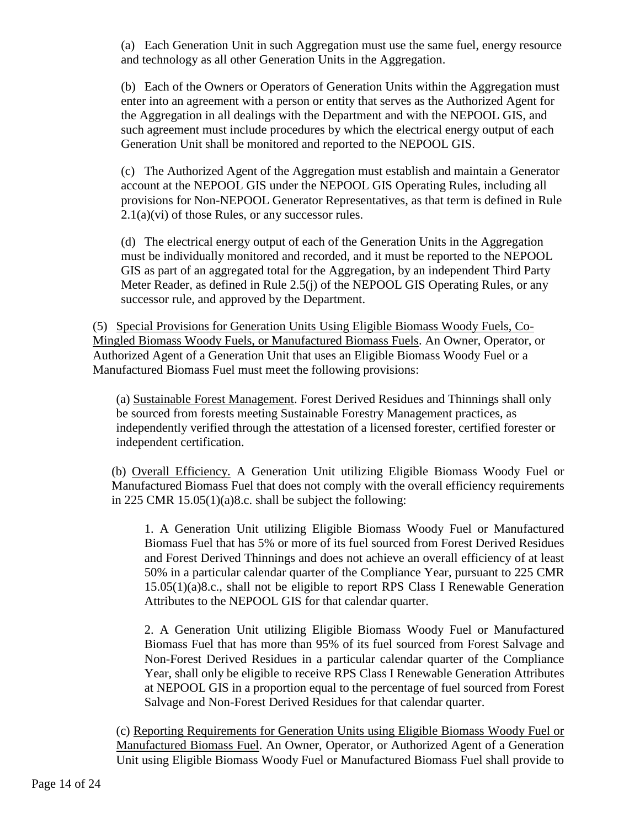(a) Each Generation Unit in such Aggregation must use the same fuel, energy resource and technology as all other Generation Units in the Aggregation.

(b) Each of the Owners or Operators of Generation Units within the Aggregation must enter into an agreement with a person or entity that serves as the Authorized Agent for the Aggregation in all dealings with the Department and with the NEPOOL GIS, and such agreement must include procedures by which the electrical energy output of each Generation Unit shall be monitored and reported to the NEPOOL GIS.

(c) The Authorized Agent of the Aggregation must establish and maintain a Generator account at the NEPOOL GIS under the NEPOOL GIS Operating Rules, including all provisions for Non-NEPOOL Generator Representatives, as that term is defined in Rule  $2.1(a)(vi)$  of those Rules, or any successor rules.

(d) The electrical energy output of each of the Generation Units in the Aggregation must be individually monitored and recorded, and it must be reported to the NEPOOL GIS as part of an aggregated total for the Aggregation, by an independent Third Party Meter Reader, as defined in Rule 2.5(j) of the NEPOOL GIS Operating Rules, or any successor rule, and approved by the Department.

(5) Special Provisions for Generation Units Using Eligible Biomass Woody Fuels, Co-Mingled Biomass Woody Fuels, or Manufactured Biomass Fuels. An Owner, Operator, or Authorized Agent of a Generation Unit that uses an Eligible Biomass Woody Fuel or a Manufactured Biomass Fuel must meet the following provisions:

(a) Sustainable Forest Management. Forest Derived Residues and Thinnings shall only be sourced from forests meeting Sustainable Forestry Management practices, as independently verified through the attestation of a licensed forester, certified forester or independent certification.

(b) Overall Efficiency. A Generation Unit utilizing Eligible Biomass Woody Fuel or Manufactured Biomass Fuel that does not comply with the overall efficiency requirements in 225 CMR 15.05(1)(a)8.c. shall be subject the following:

1. A Generation Unit utilizing Eligible Biomass Woody Fuel or Manufactured Biomass Fuel that has 5% or more of its fuel sourced from Forest Derived Residues and Forest Derived Thinnings and does not achieve an overall efficiency of at least 50% in a particular calendar quarter of the Compliance Year, pursuant to 225 CMR 15.05(1)(a)8.c., shall not be eligible to report RPS Class I Renewable Generation Attributes to the NEPOOL GIS for that calendar quarter.

2. A Generation Unit utilizing Eligible Biomass Woody Fuel or Manufactured Biomass Fuel that has more than 95% of its fuel sourced from Forest Salvage and Non-Forest Derived Residues in a particular calendar quarter of the Compliance Year, shall only be eligible to receive RPS Class I Renewable Generation Attributes at NEPOOL GIS in a proportion equal to the percentage of fuel sourced from Forest Salvage and Non-Forest Derived Residues for that calendar quarter.

(c) Reporting Requirements for Generation Units using Eligible Biomass Woody Fuel or Manufactured Biomass Fuel. An Owner, Operator, or Authorized Agent of a Generation Unit using Eligible Biomass Woody Fuel or Manufactured Biomass Fuel shall provide to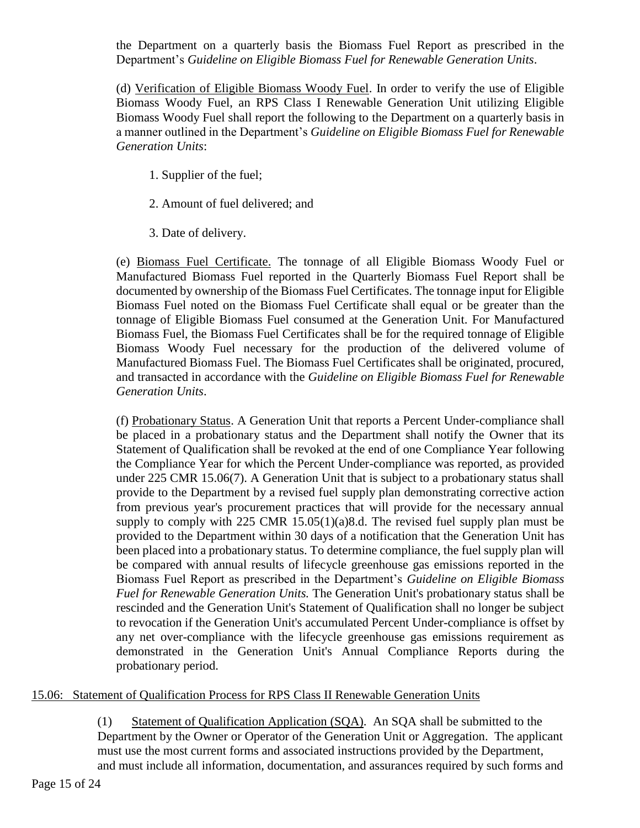the Department on a quarterly basis the Biomass Fuel Report as prescribed in the Department's *Guideline on Eligible Biomass Fuel for Renewable Generation Units*.

(d) Verification of Eligible Biomass Woody Fuel. In order to verify the use of Eligible Biomass Woody Fuel, an RPS Class I Renewable Generation Unit utilizing Eligible Biomass Woody Fuel shall report the following to the Department on a quarterly basis in a manner outlined in the Department's *Guideline on Eligible Biomass Fuel for Renewable Generation Units*:

- 1. Supplier of the fuel;
- 2. Amount of fuel delivered; and
- 3. Date of delivery.

(e) Biomass Fuel Certificate. The tonnage of all Eligible Biomass Woody Fuel or Manufactured Biomass Fuel reported in the Quarterly Biomass Fuel Report shall be documented by ownership of the Biomass Fuel Certificates. The tonnage input for Eligible Biomass Fuel noted on the Biomass Fuel Certificate shall equal or be greater than the tonnage of Eligible Biomass Fuel consumed at the Generation Unit. For Manufactured Biomass Fuel, the Biomass Fuel Certificates shall be for the required tonnage of Eligible Biomass Woody Fuel necessary for the production of the delivered volume of Manufactured Biomass Fuel. The Biomass Fuel Certificates shall be originated, procured, and transacted in accordance with the *Guideline on Eligible Biomass Fuel for Renewable Generation Units*.

(f) Probationary Status. A Generation Unit that reports a Percent Under-compliance shall be placed in a probationary status and the Department shall notify the Owner that its Statement of Qualification shall be revoked at the end of one Compliance Year following the Compliance Year for which the Percent Under-compliance was reported, as provided under 225 CMR 15.06(7). A Generation Unit that is subject to a probationary status shall provide to the Department by a revised fuel supply plan demonstrating corrective action from previous year's procurement practices that will provide for the necessary annual supply to comply with 225 CMR 15.05(1)(a)8.d. The revised fuel supply plan must be provided to the Department within 30 days of a notification that the Generation Unit has been placed into a probationary status. To determine compliance, the fuel supply plan will be compared with annual results of lifecycle greenhouse gas emissions reported in the Biomass Fuel Report as prescribed in the Department's *Guideline on Eligible Biomass Fuel for Renewable Generation Units.* The Generation Unit's probationary status shall be rescinded and the Generation Unit's Statement of Qualification shall no longer be subject to revocation if the Generation Unit's accumulated Percent Under-compliance is offset by any net over-compliance with the lifecycle greenhouse gas emissions requirement as demonstrated in the Generation Unit's Annual Compliance Reports during the probationary period.

#### 15.06: Statement of Qualification Process for RPS Class II Renewable Generation Units

(1) Statement of Qualification Application (SQA). An SQA shall be submitted to the Department by the Owner or Operator of the Generation Unit or Aggregation. The applicant must use the most current forms and associated instructions provided by the Department, and must include all information, documentation, and assurances required by such forms and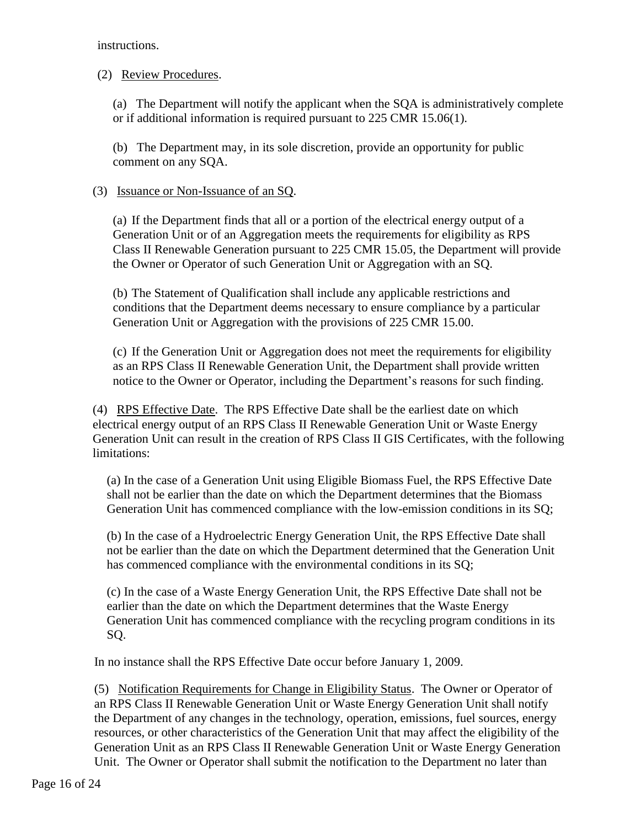instructions.

# (2) Review Procedures.

(a) The Department will notify the applicant when the SQA is administratively complete or if additional information is required pursuant to 225 CMR 15.06(1).

(b) The Department may, in its sole discretion, provide an opportunity for public comment on any SQA.

## (3) Issuance or Non-Issuance of an SQ.

(a) If the Department finds that all or a portion of the electrical energy output of a Generation Unit or of an Aggregation meets the requirements for eligibility as RPS Class II Renewable Generation pursuant to 225 CMR 15.05, the Department will provide the Owner or Operator of such Generation Unit or Aggregation with an SQ.

(b) The Statement of Qualification shall include any applicable restrictions and conditions that the Department deems necessary to ensure compliance by a particular Generation Unit or Aggregation with the provisions of 225 CMR 15.00.

(c) If the Generation Unit or Aggregation does not meet the requirements for eligibility as an RPS Class II Renewable Generation Unit, the Department shall provide written notice to the Owner or Operator, including the Department's reasons for such finding.

(4) RPS Effective Date. The RPS Effective Date shall be the earliest date on which electrical energy output of an RPS Class II Renewable Generation Unit or Waste Energy Generation Unit can result in the creation of RPS Class II GIS Certificates, with the following limitations:

(a) In the case of a Generation Unit using Eligible Biomass Fuel, the RPS Effective Date shall not be earlier than the date on which the Department determines that the Biomass Generation Unit has commenced compliance with the low-emission conditions in its SQ;

(b) In the case of a Hydroelectric Energy Generation Unit, the RPS Effective Date shall not be earlier than the date on which the Department determined that the Generation Unit has commenced compliance with the environmental conditions in its SQ;

(c) In the case of a Waste Energy Generation Unit, the RPS Effective Date shall not be earlier than the date on which the Department determines that the Waste Energy Generation Unit has commenced compliance with the recycling program conditions in its SQ.

In no instance shall the RPS Effective Date occur before January 1, 2009.

(5) Notification Requirements for Change in Eligibility Status. The Owner or Operator of an RPS Class II Renewable Generation Unit or Waste Energy Generation Unit shall notify the Department of any changes in the technology, operation, emissions, fuel sources, energy resources, or other characteristics of the Generation Unit that may affect the eligibility of the Generation Unit as an RPS Class II Renewable Generation Unit or Waste Energy Generation Unit. The Owner or Operator shall submit the notification to the Department no later than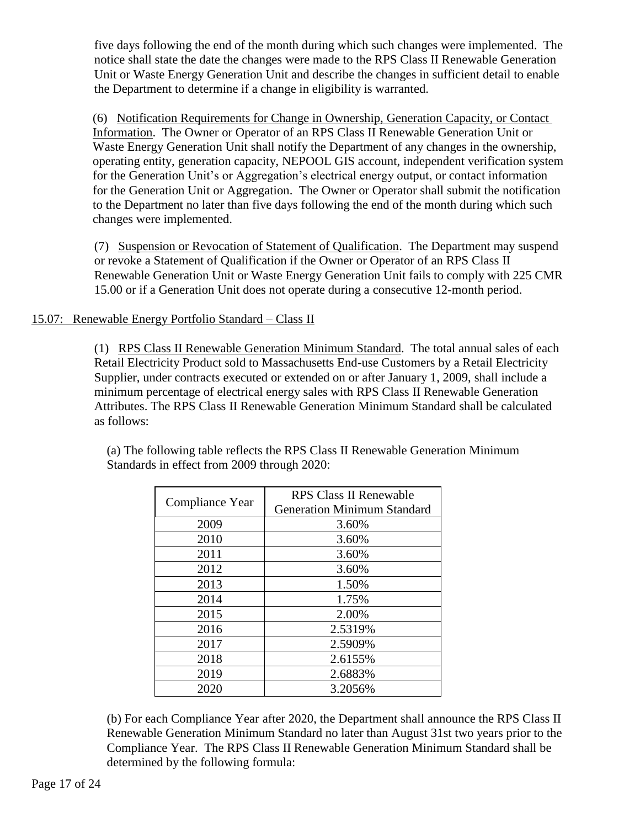five days following the end of the month during which such changes were implemented. The notice shall state the date the changes were made to the RPS Class II Renewable Generation Unit or Waste Energy Generation Unit and describe the changes in sufficient detail to enable the Department to determine if a change in eligibility is warranted.

(6) Notification Requirements for Change in Ownership, Generation Capacity, or Contact Information. The Owner or Operator of an RPS Class II Renewable Generation Unit or Waste Energy Generation Unit shall notify the Department of any changes in the ownership, operating entity, generation capacity, NEPOOL GIS account, independent verification system for the Generation Unit's or Aggregation's electrical energy output, or contact information for the Generation Unit or Aggregation. The Owner or Operator shall submit the notification to the Department no later than five days following the end of the month during which such changes were implemented.

(7) Suspension or Revocation of Statement of Qualification. The Department may suspend or revoke a Statement of Qualification if the Owner or Operator of an RPS Class II Renewable Generation Unit or Waste Energy Generation Unit fails to comply with 225 CMR 15.00 or if a Generation Unit does not operate during a consecutive 12-month period.

# 15.07: Renewable Energy Portfolio Standard – Class II

(1) RPS Class II Renewable Generation Minimum Standard. The total annual sales of each Retail Electricity Product sold to Massachusetts End-use Customers by a Retail Electricity Supplier, under contracts executed or extended on or after January 1, 2009, shall include a minimum percentage of electrical energy sales with RPS Class II Renewable Generation Attributes. The RPS Class II Renewable Generation Minimum Standard shall be calculated as follows:

| Compliance Year | <b>RPS Class II Renewable</b>      |
|-----------------|------------------------------------|
|                 | <b>Generation Minimum Standard</b> |
| 2009            | 3.60%                              |
| 2010            | 3.60%                              |
| 2011            | 3.60%                              |
| 2012            | 3.60%                              |
| 2013            | 1.50%                              |
| 2014            | 1.75%                              |
| 2015            | 2.00%                              |
| 2016            | 2.5319%                            |
| 2017            | 2.5909%                            |
| 2018            | 2.6155%                            |
| 2019            | 2.6883%                            |
| 2020            | 3.2056%                            |

(a) The following table reflects the RPS Class II Renewable Generation Minimum Standards in effect from 2009 through 2020:

(b) For each Compliance Year after 2020, the Department shall announce the RPS Class II Renewable Generation Minimum Standard no later than August 31st two years prior to the Compliance Year. The RPS Class II Renewable Generation Minimum Standard shall be determined by the following formula: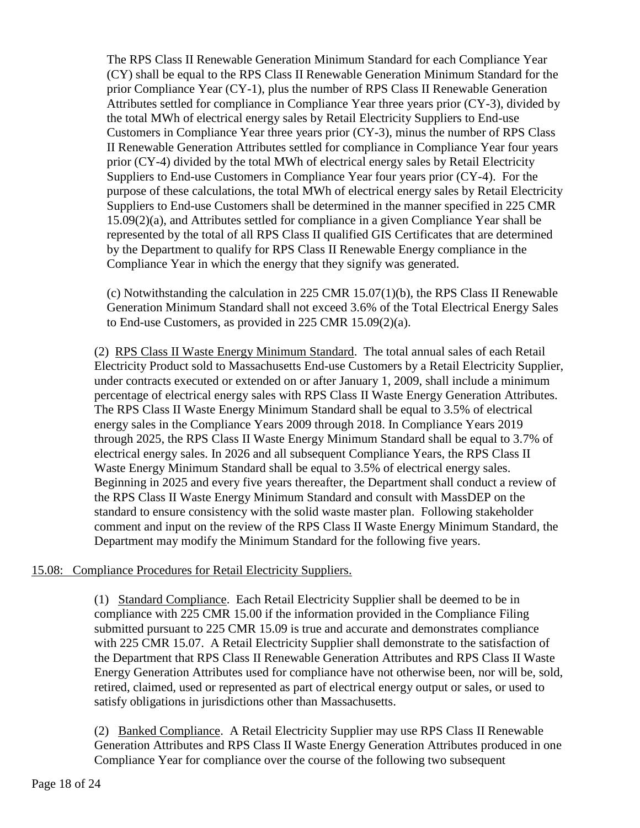The RPS Class II Renewable Generation Minimum Standard for each Compliance Year (CY) shall be equal to the RPS Class II Renewable Generation Minimum Standard for the prior Compliance Year (CY-1), plus the number of RPS Class II Renewable Generation Attributes settled for compliance in Compliance Year three years prior (CY-3), divided by the total MWh of electrical energy sales by Retail Electricity Suppliers to End-use Customers in Compliance Year three years prior (CY-3), minus the number of RPS Class II Renewable Generation Attributes settled for compliance in Compliance Year four years prior (CY-4) divided by the total MWh of electrical energy sales by Retail Electricity Suppliers to End-use Customers in Compliance Year four years prior (CY-4). For the purpose of these calculations, the total MWh of electrical energy sales by Retail Electricity Suppliers to End-use Customers shall be determined in the manner specified in 225 CMR 15.09(2)(a), and Attributes settled for compliance in a given Compliance Year shall be represented by the total of all RPS Class II qualified GIS Certificates that are determined by the Department to qualify for RPS Class II Renewable Energy compliance in the Compliance Year in which the energy that they signify was generated.

(c) Notwithstanding the calculation in 225 CMR 15.07(1)(b), the RPS Class II Renewable Generation Minimum Standard shall not exceed 3.6% of the Total Electrical Energy Sales to End-use Customers, as provided in 225 CMR 15.09(2)(a).

(2) RPS Class II Waste Energy Minimum Standard. The total annual sales of each Retail Electricity Product sold to Massachusetts End-use Customers by a Retail Electricity Supplier, under contracts executed or extended on or after January 1, 2009, shall include a minimum percentage of electrical energy sales with RPS Class II Waste Energy Generation Attributes. The RPS Class II Waste Energy Minimum Standard shall be equal to 3.5% of electrical energy sales in the Compliance Years 2009 through 2018. In Compliance Years 2019 through 2025, the RPS Class II Waste Energy Minimum Standard shall be equal to 3.7% of electrical energy sales. In 2026 and all subsequent Compliance Years, the RPS Class II Waste Energy Minimum Standard shall be equal to 3.5% of electrical energy sales. Beginning in 2025 and every five years thereafter, the Department shall conduct a review of the RPS Class II Waste Energy Minimum Standard and consult with MassDEP on the standard to ensure consistency with the solid waste master plan. Following stakeholder comment and input on the review of the RPS Class II Waste Energy Minimum Standard, the Department may modify the Minimum Standard for the following five years.

# 15.08: Compliance Procedures for Retail Electricity Suppliers.

(1) Standard Compliance. Each Retail Electricity Supplier shall be deemed to be in compliance with 225 CMR 15.00 if the information provided in the Compliance Filing submitted pursuant to 225 CMR 15.09 is true and accurate and demonstrates compliance with 225 CMR 15.07. A Retail Electricity Supplier shall demonstrate to the satisfaction of the Department that RPS Class II Renewable Generation Attributes and RPS Class II Waste Energy Generation Attributes used for compliance have not otherwise been, nor will be, sold, retired, claimed, used or represented as part of electrical energy output or sales, or used to satisfy obligations in jurisdictions other than Massachusetts.

(2) Banked Compliance. A Retail Electricity Supplier may use RPS Class II Renewable Generation Attributes and RPS Class II Waste Energy Generation Attributes produced in one Compliance Year for compliance over the course of the following two subsequent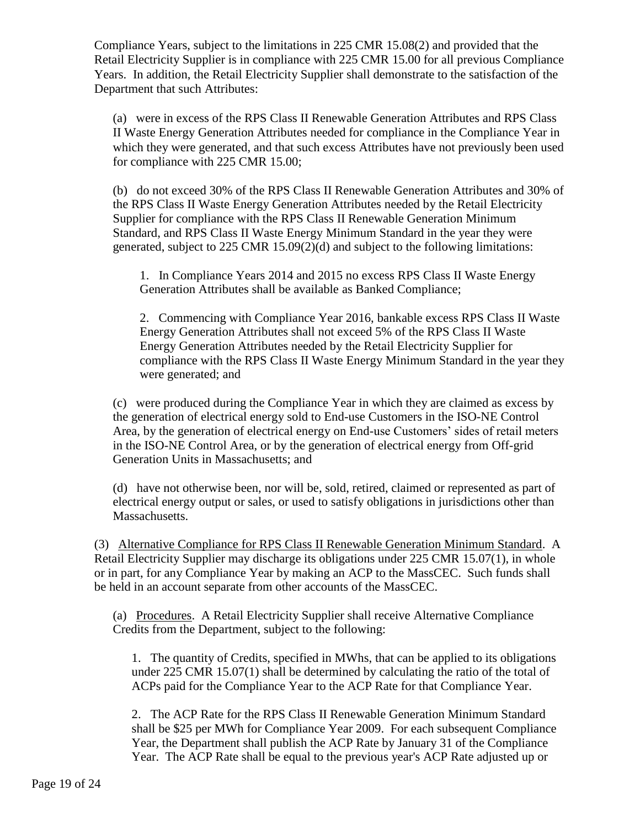Compliance Years, subject to the limitations in 225 CMR 15.08(2) and provided that the Retail Electricity Supplier is in compliance with 225 CMR 15.00 for all previous Compliance Years. In addition, the Retail Electricity Supplier shall demonstrate to the satisfaction of the Department that such Attributes:

(a) were in excess of the RPS Class II Renewable Generation Attributes and RPS Class II Waste Energy Generation Attributes needed for compliance in the Compliance Year in which they were generated, and that such excess Attributes have not previously been used for compliance with 225 CMR 15.00;

(b) do not exceed 30% of the RPS Class II Renewable Generation Attributes and 30% of the RPS Class II Waste Energy Generation Attributes needed by the Retail Electricity Supplier for compliance with the RPS Class II Renewable Generation Minimum Standard, and RPS Class II Waste Energy Minimum Standard in the year they were generated, subject to 225 CMR 15.09(2)(d) and subject to the following limitations:

1. In Compliance Years 2014 and 2015 no excess RPS Class II Waste Energy Generation Attributes shall be available as Banked Compliance;

2. Commencing with Compliance Year 2016, bankable excess RPS Class II Waste Energy Generation Attributes shall not exceed 5% of the RPS Class II Waste Energy Generation Attributes needed by the Retail Electricity Supplier for compliance with the RPS Class II Waste Energy Minimum Standard in the year they were generated; and

(c) were produced during the Compliance Year in which they are claimed as excess by the generation of electrical energy sold to End-use Customers in the ISO-NE Control Area, by the generation of electrical energy on End-use Customers' sides of retail meters in the ISO-NE Control Area, or by the generation of electrical energy from Off-grid Generation Units in Massachusetts; and

(d) have not otherwise been, nor will be, sold, retired, claimed or represented as part of electrical energy output or sales, or used to satisfy obligations in jurisdictions other than Massachusetts.

(3) Alternative Compliance for RPS Class II Renewable Generation Minimum Standard. A Retail Electricity Supplier may discharge its obligations under 225 CMR 15.07(1), in whole or in part, for any Compliance Year by making an ACP to the MassCEC. Such funds shall be held in an account separate from other accounts of the MassCEC.

(a) Procedures. A Retail Electricity Supplier shall receive Alternative Compliance Credits from the Department, subject to the following:

1. The quantity of Credits, specified in MWhs, that can be applied to its obligations under 225 CMR 15.07(1) shall be determined by calculating the ratio of the total of ACPs paid for the Compliance Year to the ACP Rate for that Compliance Year.

2. The ACP Rate for the RPS Class II Renewable Generation Minimum Standard shall be \$25 per MWh for Compliance Year 2009. For each subsequent Compliance Year, the Department shall publish the ACP Rate by January 31 of the Compliance Year. The ACP Rate shall be equal to the previous year's ACP Rate adjusted up or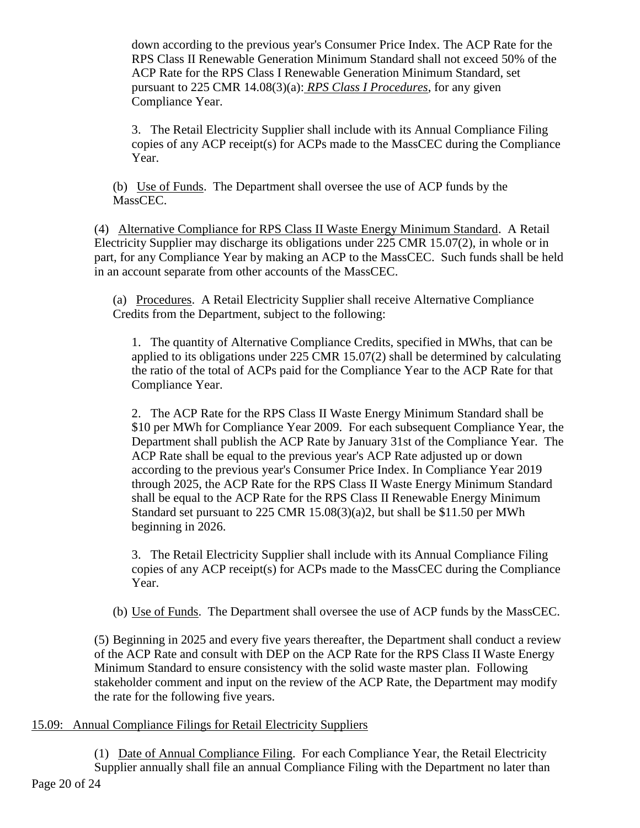down according to the previous year's Consumer Price Index. The ACP Rate for the RPS Class II Renewable Generation Minimum Standard shall not exceed 50% of the ACP Rate for the RPS Class I Renewable Generation Minimum Standard, set pursuant to 225 CMR 14.08(3)(a): *RPS Class I Procedures*, for any given Compliance Year.

3. The Retail Electricity Supplier shall include with its Annual Compliance Filing copies of any ACP receipt(s) for ACPs made to the MassCEC during the Compliance Year.

(b) Use of Funds. The Department shall oversee the use of ACP funds by the MassCEC.

(4) Alternative Compliance for RPS Class II Waste Energy Minimum Standard. A Retail Electricity Supplier may discharge its obligations under 225 CMR 15.07(2), in whole or in part, for any Compliance Year by making an ACP to the MassCEC. Such funds shall be held in an account separate from other accounts of the MassCEC.

(a) Procedures. A Retail Electricity Supplier shall receive Alternative Compliance Credits from the Department, subject to the following:

1. The quantity of Alternative Compliance Credits, specified in MWhs, that can be applied to its obligations under 225 CMR 15.07(2) shall be determined by calculating the ratio of the total of ACPs paid for the Compliance Year to the ACP Rate for that Compliance Year.

2. The ACP Rate for the RPS Class II Waste Energy Minimum Standard shall be \$10 per MWh for Compliance Year 2009. For each subsequent Compliance Year, the Department shall publish the ACP Rate by January 31st of the Compliance Year. The ACP Rate shall be equal to the previous year's ACP Rate adjusted up or down according to the previous year's Consumer Price Index. In Compliance Year 2019 through 2025, the ACP Rate for the RPS Class II Waste Energy Minimum Standard shall be equal to the ACP Rate for the RPS Class II Renewable Energy Minimum Standard set pursuant to 225 CMR 15.08(3)(a)2, but shall be \$11.50 per MWh beginning in 2026.

3. The Retail Electricity Supplier shall include with its Annual Compliance Filing copies of any ACP receipt(s) for ACPs made to the MassCEC during the Compliance Year.

(b) Use of Funds. The Department shall oversee the use of ACP funds by the MassCEC.

(5) Beginning in 2025 and every five years thereafter, the Department shall conduct a review of the ACP Rate and consult with DEP on the ACP Rate for the RPS Class II Waste Energy Minimum Standard to ensure consistency with the solid waste master plan. Following stakeholder comment and input on the review of the ACP Rate, the Department may modify the rate for the following five years.

# 15.09: Annual Compliance Filings for Retail Electricity Suppliers

Page 20 of 24 (1) Date of Annual Compliance Filing. For each Compliance Year, the Retail Electricity Supplier annually shall file an annual Compliance Filing with the Department no later than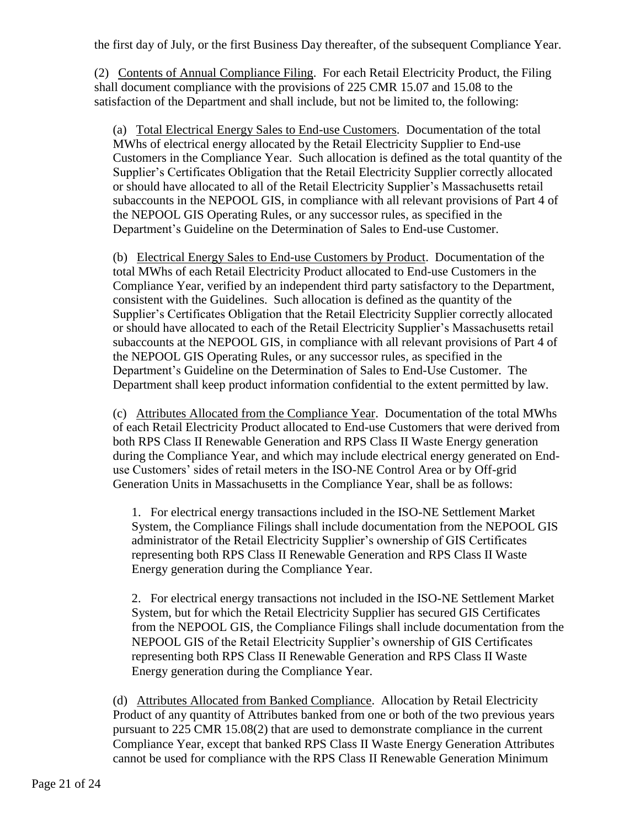the first day of July, or the first Business Day thereafter, of the subsequent Compliance Year.

(2) Contents of Annual Compliance Filing. For each Retail Electricity Product, the Filing shall document compliance with the provisions of 225 CMR 15.07 and 15.08 to the satisfaction of the Department and shall include, but not be limited to, the following:

(a) Total Electrical Energy Sales to End-use Customers. Documentation of the total MWhs of electrical energy allocated by the Retail Electricity Supplier to End-use Customers in the Compliance Year. Such allocation is defined as the total quantity of the Supplier's Certificates Obligation that the Retail Electricity Supplier correctly allocated or should have allocated to all of the Retail Electricity Supplier's Massachusetts retail subaccounts in the NEPOOL GIS, in compliance with all relevant provisions of Part 4 of the NEPOOL GIS Operating Rules, or any successor rules, as specified in the Department's Guideline on the Determination of Sales to End-use Customer.

(b) Electrical Energy Sales to End-use Customers by Product. Documentation of the total MWhs of each Retail Electricity Product allocated to End-use Customers in the Compliance Year, verified by an independent third party satisfactory to the Department, consistent with the Guidelines. Such allocation is defined as the quantity of the Supplier's Certificates Obligation that the Retail Electricity Supplier correctly allocated or should have allocated to each of the Retail Electricity Supplier's Massachusetts retail subaccounts at the NEPOOL GIS, in compliance with all relevant provisions of Part 4 of the NEPOOL GIS Operating Rules, or any successor rules, as specified in the Department's Guideline on the Determination of Sales to End-Use Customer. The Department shall keep product information confidential to the extent permitted by law.

(c) Attributes Allocated from the Compliance Year. Documentation of the total MWhs of each Retail Electricity Product allocated to End-use Customers that were derived from both RPS Class II Renewable Generation and RPS Class II Waste Energy generation during the Compliance Year, and which may include electrical energy generated on Enduse Customers' sides of retail meters in the ISO-NE Control Area or by Off-grid Generation Units in Massachusetts in the Compliance Year, shall be as follows:

1. For electrical energy transactions included in the ISO-NE Settlement Market System, the Compliance Filings shall include documentation from the NEPOOL GIS administrator of the Retail Electricity Supplier's ownership of GIS Certificates representing both RPS Class II Renewable Generation and RPS Class II Waste Energy generation during the Compliance Year.

2. For electrical energy transactions not included in the ISO-NE Settlement Market System, but for which the Retail Electricity Supplier has secured GIS Certificates from the NEPOOL GIS, the Compliance Filings shall include documentation from the NEPOOL GIS of the Retail Electricity Supplier's ownership of GIS Certificates representing both RPS Class II Renewable Generation and RPS Class II Waste Energy generation during the Compliance Year.

(d) Attributes Allocated from Banked Compliance. Allocation by Retail Electricity Product of any quantity of Attributes banked from one or both of the two previous years pursuant to 225 CMR 15.08(2) that are used to demonstrate compliance in the current Compliance Year, except that banked RPS Class II Waste Energy Generation Attributes cannot be used for compliance with the RPS Class II Renewable Generation Minimum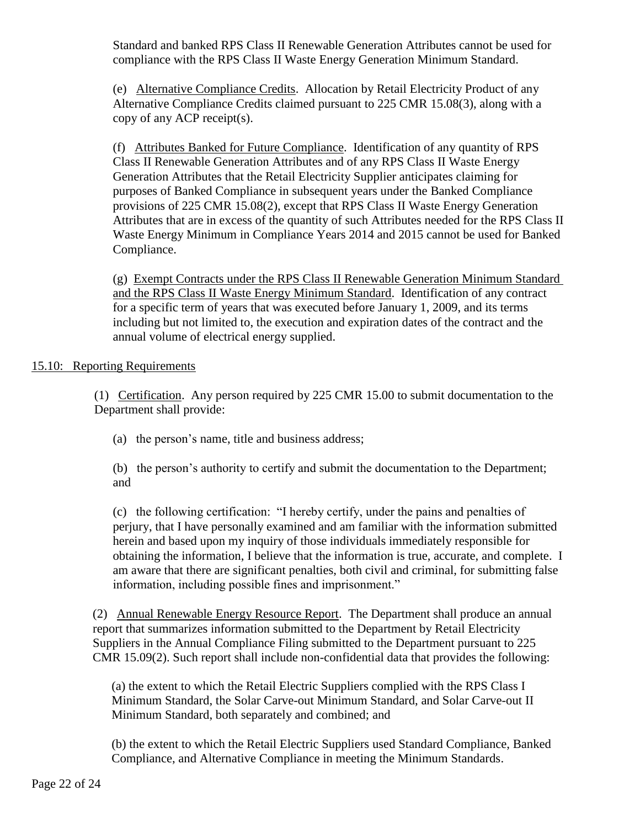Standard and banked RPS Class II Renewable Generation Attributes cannot be used for compliance with the RPS Class II Waste Energy Generation Minimum Standard.

(e) Alternative Compliance Credits. Allocation by Retail Electricity Product of any Alternative Compliance Credits claimed pursuant to 225 CMR 15.08(3), along with a copy of any ACP receipt(s).

(f) Attributes Banked for Future Compliance. Identification of any quantity of RPS Class II Renewable Generation Attributes and of any RPS Class II Waste Energy Generation Attributes that the Retail Electricity Supplier anticipates claiming for purposes of Banked Compliance in subsequent years under the Banked Compliance provisions of 225 CMR 15.08(2), except that RPS Class II Waste Energy Generation Attributes that are in excess of the quantity of such Attributes needed for the RPS Class II Waste Energy Minimum in Compliance Years 2014 and 2015 cannot be used for Banked Compliance.

(g) Exempt Contracts under the RPS Class II Renewable Generation Minimum Standard and the RPS Class II Waste Energy Minimum Standard. Identification of any contract for a specific term of years that was executed before January 1, 2009, and its terms including but not limited to, the execution and expiration dates of the contract and the annual volume of electrical energy supplied.

## 15.10: Reporting Requirements

(1) Certification. Any person required by 225 CMR 15.00 to submit documentation to the Department shall provide:

(a) the person's name, title and business address;

(b) the person's authority to certify and submit the documentation to the Department; and

(c) the following certification: "I hereby certify, under the pains and penalties of perjury, that I have personally examined and am familiar with the information submitted herein and based upon my inquiry of those individuals immediately responsible for obtaining the information, I believe that the information is true, accurate, and complete. I am aware that there are significant penalties, both civil and criminal, for submitting false information, including possible fines and imprisonment."

(2) Annual Renewable Energy Resource Report. The Department shall produce an annual report that summarizes information submitted to the Department by Retail Electricity Suppliers in the Annual Compliance Filing submitted to the Department pursuant to 225 CMR 15.09(2). Such report shall include non-confidential data that provides the following:

(a) the extent to which the Retail Electric Suppliers complied with the RPS Class I Minimum Standard, the Solar Carve-out Minimum Standard, and Solar Carve-out II Minimum Standard, both separately and combined; and

(b) the extent to which the Retail Electric Suppliers used Standard Compliance, Banked Compliance, and Alternative Compliance in meeting the Minimum Standards.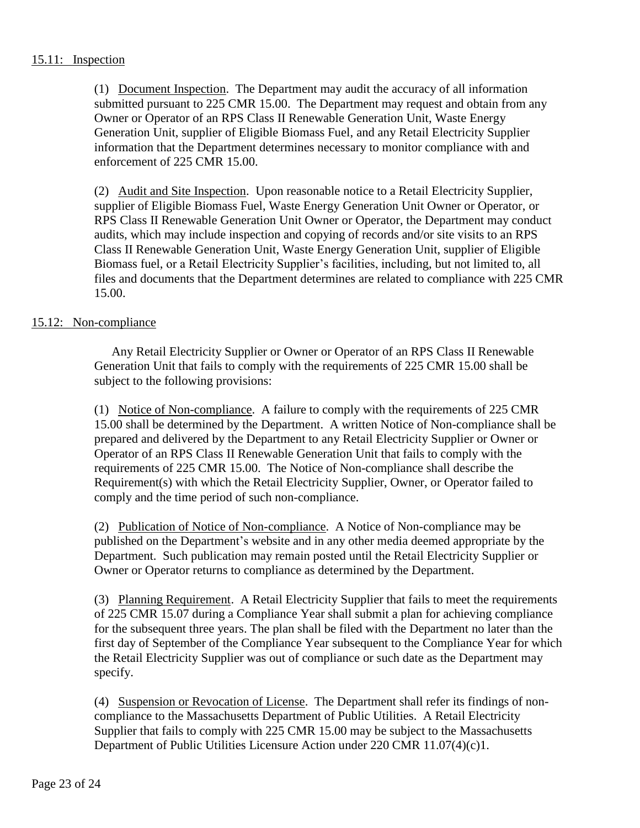## 15.11: Inspection

(1) Document Inspection. The Department may audit the accuracy of all information submitted pursuant to 225 CMR 15.00. The Department may request and obtain from any Owner or Operator of an RPS Class II Renewable Generation Unit, Waste Energy Generation Unit, supplier of Eligible Biomass Fuel, and any Retail Electricity Supplier information that the Department determines necessary to monitor compliance with and enforcement of 225 CMR 15.00.

(2) Audit and Site Inspection. Upon reasonable notice to a Retail Electricity Supplier, supplier of Eligible Biomass Fuel, Waste Energy Generation Unit Owner or Operator, or RPS Class II Renewable Generation Unit Owner or Operator, the Department may conduct audits, which may include inspection and copying of records and/or site visits to an RPS Class II Renewable Generation Unit, Waste Energy Generation Unit, supplier of Eligible Biomass fuel, or a Retail Electricity Supplier's facilities, including, but not limited to, all files and documents that the Department determines are related to compliance with 225 CMR 15.00.

## 15.12: Non-compliance

Any Retail Electricity Supplier or Owner or Operator of an RPS Class II Renewable Generation Unit that fails to comply with the requirements of 225 CMR 15.00 shall be subject to the following provisions:

(1) Notice of Non-compliance. A failure to comply with the requirements of 225 CMR 15.00 shall be determined by the Department. A written Notice of Non-compliance shall be prepared and delivered by the Department to any Retail Electricity Supplier or Owner or Operator of an RPS Class II Renewable Generation Unit that fails to comply with the requirements of 225 CMR 15.00. The Notice of Non-compliance shall describe the Requirement(s) with which the Retail Electricity Supplier, Owner, or Operator failed to comply and the time period of such non-compliance.

(2) Publication of Notice of Non-compliance. A Notice of Non-compliance may be published on the Department's website and in any other media deemed appropriate by the Department. Such publication may remain posted until the Retail Electricity Supplier or Owner or Operator returns to compliance as determined by the Department.

(3) Planning Requirement. A Retail Electricity Supplier that fails to meet the requirements of 225 CMR 15.07 during a Compliance Year shall submit a plan for achieving compliance for the subsequent three years. The plan shall be filed with the Department no later than the first day of September of the Compliance Year subsequent to the Compliance Year for which the Retail Electricity Supplier was out of compliance or such date as the Department may specify.

(4) Suspension or Revocation of License. The Department shall refer its findings of noncompliance to the Massachusetts Department of Public Utilities. A Retail Electricity Supplier that fails to comply with 225 CMR 15.00 may be subject to the Massachusetts Department of Public Utilities Licensure Action under 220 CMR 11.07(4)(c)1.